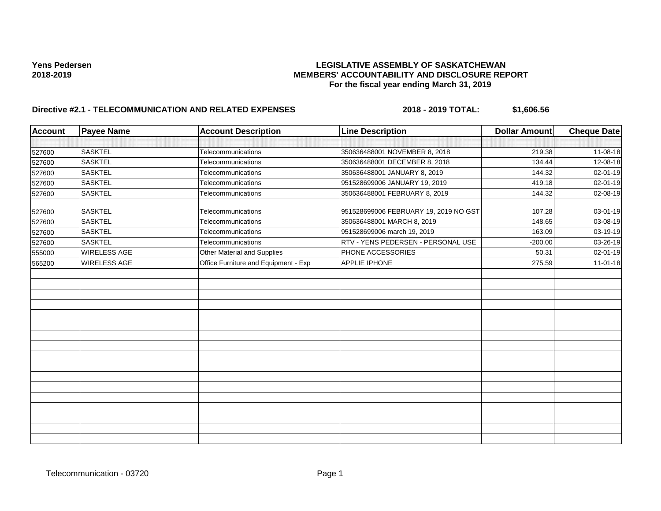| <b>Account</b> | <b>Payee Name</b> | <b>Account Description</b>           | <b>Line Description</b>               | <b>Dollar Amount</b> | <b>Cheque Date</b> |
|----------------|-------------------|--------------------------------------|---------------------------------------|----------------------|--------------------|
|                |                   |                                      |                                       |                      |                    |
| 527600         | <b>SASKTEL</b>    | Telecommunications                   | 350636488001 NOVEMBER 8, 2018         | 219.38               | 11-08-18           |
| 527600         | <b>SASKTEL</b>    | Telecommunications                   | 350636488001 DECEMBER 8, 2018         | 134.44               | 12-08-18           |
| 527600         | <b>SASKTEL</b>    | Telecommunications                   | 350636488001 JANUARY 8, 2019          | 144.32               | 02-01-19           |
| 527600         | <b>SASKTEL</b>    | Telecommunications                   | 951528699006 JANUARY 19, 2019         | 419.18               | $02 - 01 - 19$     |
| 527600         | <b>SASKTEL</b>    | Telecommunications                   | 350636488001 FEBRUARY 8, 2019         | 144.32               | 02-08-19           |
| 527600         | <b>SASKTEL</b>    | Telecommunications                   | 951528699006 FEBRUARY 19, 2019 NO GST | 107.28               | 03-01-19           |
| 527600         | <b>SASKTEL</b>    | Telecommunications                   | 350636488001 MARCH 8, 2019            | 148.65               | 03-08-19           |
| 527600         | <b>SASKTEL</b>    | Telecommunications                   | 951528699006 march 19, 2019           | 163.09               | 03-19-19           |
| 527600         | <b>SASKTEL</b>    | Telecommunications                   | RTV - YENS PEDERSEN - PERSONAL USE    | $-200.00$            | $03 - 26 - 19$     |
| 555000         | WIRELESS AGE      | Other Material and Supplies          | PHONE ACCESSORIES                     | 50.31                | 02-01-19           |
| 565200         | WIRELESS AGE      | Office Furniture and Equipment - Exp | APPLIE IPHONE                         | 275.59               | $11-01-18$         |
|                |                   |                                      |                                       |                      |                    |
|                |                   |                                      |                                       |                      |                    |
|                |                   |                                      |                                       |                      |                    |
|                |                   |                                      |                                       |                      |                    |
|                |                   |                                      |                                       |                      |                    |
|                |                   |                                      |                                       |                      |                    |
|                |                   |                                      |                                       |                      |                    |
|                |                   |                                      |                                       |                      |                    |
|                |                   |                                      |                                       |                      |                    |
|                |                   |                                      |                                       |                      |                    |
|                |                   |                                      |                                       |                      |                    |
|                |                   |                                      |                                       |                      |                    |
|                |                   |                                      |                                       |                      |                    |
|                |                   |                                      |                                       |                      |                    |
|                |                   |                                      |                                       |                      |                    |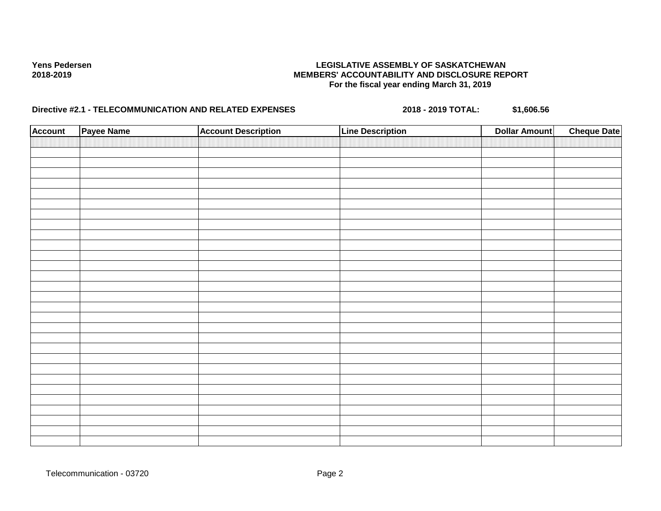| <b>Account</b> | Payee Name | <b>Account Description</b> | <b>Line Description</b> | <b>Dollar Amount</b> | <b>Cheque Date</b> |
|----------------|------------|----------------------------|-------------------------|----------------------|--------------------|
|                |            |                            |                         |                      |                    |
|                |            |                            |                         |                      |                    |
|                |            |                            |                         |                      |                    |
|                |            |                            |                         |                      |                    |
|                |            |                            |                         |                      |                    |
|                |            |                            |                         |                      |                    |
|                |            |                            |                         |                      |                    |
|                |            |                            |                         |                      |                    |
|                |            |                            |                         |                      |                    |
|                |            |                            |                         |                      |                    |
|                |            |                            |                         |                      |                    |
|                |            |                            |                         |                      |                    |
|                |            |                            |                         |                      |                    |
|                |            |                            |                         |                      |                    |
|                |            |                            |                         |                      |                    |
|                |            |                            |                         |                      |                    |
|                |            |                            |                         |                      |                    |
|                |            |                            |                         |                      |                    |
|                |            |                            |                         |                      |                    |
|                |            |                            |                         |                      |                    |
|                |            |                            |                         |                      |                    |
|                |            |                            |                         |                      |                    |
|                |            |                            |                         |                      |                    |
|                |            |                            |                         |                      |                    |
|                |            |                            |                         |                      |                    |
|                |            |                            |                         |                      |                    |
|                |            |                            |                         |                      |                    |
|                |            |                            |                         |                      |                    |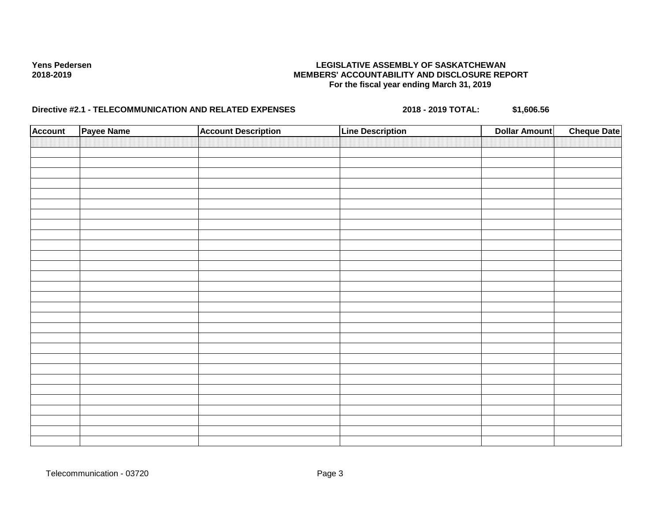| <b>Account</b> | Payee Name | <b>Account Description</b> | <b>Line Description</b> | <b>Dollar Amount</b> | <b>Cheque Date</b> |
|----------------|------------|----------------------------|-------------------------|----------------------|--------------------|
|                |            |                            |                         |                      |                    |
|                |            |                            |                         |                      |                    |
|                |            |                            |                         |                      |                    |
|                |            |                            |                         |                      |                    |
|                |            |                            |                         |                      |                    |
|                |            |                            |                         |                      |                    |
|                |            |                            |                         |                      |                    |
|                |            |                            |                         |                      |                    |
|                |            |                            |                         |                      |                    |
|                |            |                            |                         |                      |                    |
|                |            |                            |                         |                      |                    |
|                |            |                            |                         |                      |                    |
|                |            |                            |                         |                      |                    |
|                |            |                            |                         |                      |                    |
|                |            |                            |                         |                      |                    |
|                |            |                            |                         |                      |                    |
|                |            |                            |                         |                      |                    |
|                |            |                            |                         |                      |                    |
|                |            |                            |                         |                      |                    |
|                |            |                            |                         |                      |                    |
|                |            |                            |                         |                      |                    |
|                |            |                            |                         |                      |                    |
|                |            |                            |                         |                      |                    |
|                |            |                            |                         |                      |                    |
|                |            |                            |                         |                      |                    |
|                |            |                            |                         |                      |                    |
|                |            |                            |                         |                      |                    |
|                |            |                            |                         |                      |                    |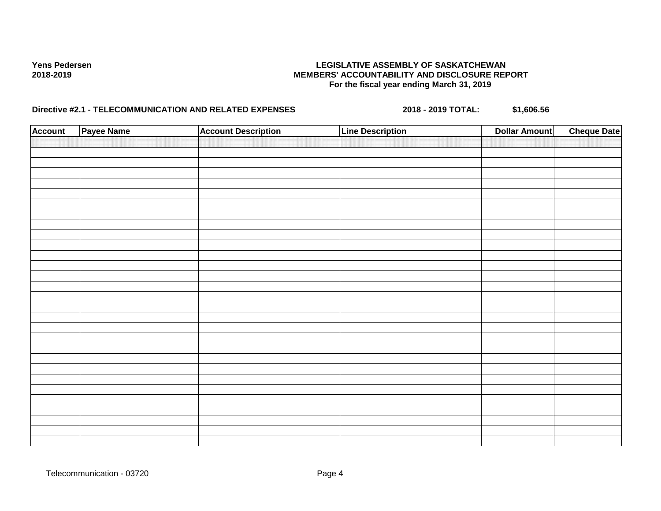| <b>Account</b> | Payee Name | <b>Account Description</b> | <b>Line Description</b> | <b>Dollar Amount</b> | <b>Cheque Date</b> |
|----------------|------------|----------------------------|-------------------------|----------------------|--------------------|
|                |            |                            |                         |                      |                    |
|                |            |                            |                         |                      |                    |
|                |            |                            |                         |                      |                    |
|                |            |                            |                         |                      |                    |
|                |            |                            |                         |                      |                    |
|                |            |                            |                         |                      |                    |
|                |            |                            |                         |                      |                    |
|                |            |                            |                         |                      |                    |
|                |            |                            |                         |                      |                    |
|                |            |                            |                         |                      |                    |
|                |            |                            |                         |                      |                    |
|                |            |                            |                         |                      |                    |
|                |            |                            |                         |                      |                    |
|                |            |                            |                         |                      |                    |
|                |            |                            |                         |                      |                    |
|                |            |                            |                         |                      |                    |
|                |            |                            |                         |                      |                    |
|                |            |                            |                         |                      |                    |
|                |            |                            |                         |                      |                    |
|                |            |                            |                         |                      |                    |
|                |            |                            |                         |                      |                    |
|                |            |                            |                         |                      |                    |
|                |            |                            |                         |                      |                    |
|                |            |                            |                         |                      |                    |
|                |            |                            |                         |                      |                    |
|                |            |                            |                         |                      |                    |
|                |            |                            |                         |                      |                    |
|                |            |                            |                         |                      |                    |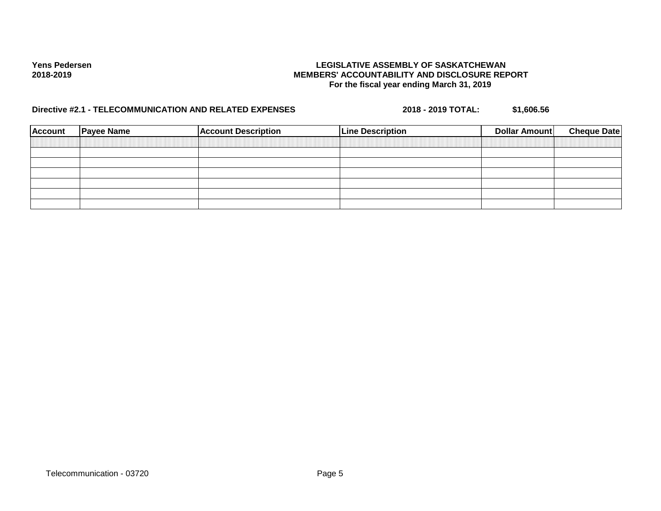| <b>Account</b> | <b>Payee Name</b> | <b>Account Description</b> | <b>Line Description</b> | <b>Dollar Amount</b> | <b>Cheque Date</b> |
|----------------|-------------------|----------------------------|-------------------------|----------------------|--------------------|
|                |                   |                            |                         |                      |                    |
|                |                   |                            |                         |                      |                    |
|                |                   |                            |                         |                      |                    |
|                |                   |                            |                         |                      |                    |
|                |                   |                            |                         |                      |                    |
|                |                   |                            |                         |                      |                    |
|                |                   |                            |                         |                      |                    |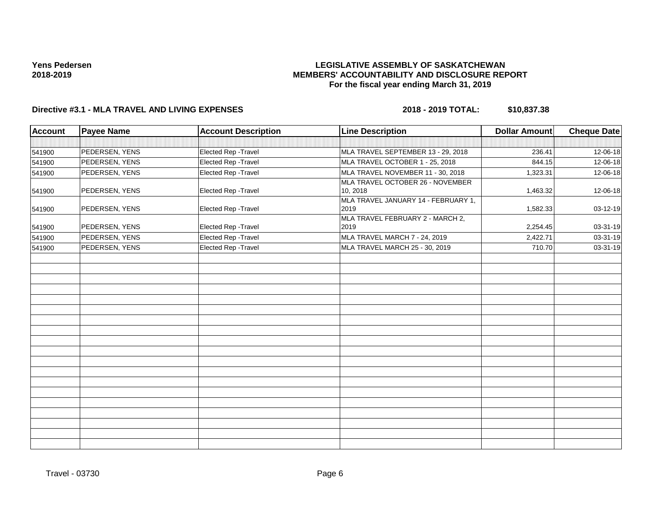### **LEGISLATIVE ASSEMBLY OF SASKATCHEWAN MEMBERS' ACCOUNTABILITY AND DISCLOSURE REPORT For the fiscal year ending March 31, 2019**

| <b>Account</b> | <b>Payee Name</b> | <b>Account Description</b> | <b>Line Description</b>                  | <b>Dollar Amount</b> | <b>Cheque Date</b> |
|----------------|-------------------|----------------------------|------------------------------------------|----------------------|--------------------|
|                |                   |                            |                                          |                      |                    |
| 541900         | PEDERSEN, YENS    | Elected Rep - Travel       | MLA TRAVEL SEPTEMBER 13 - 29, 2018       | 236.41               | 12-06-18           |
| 541900         | PEDERSEN, YENS    | Elected Rep - Travel       | MLA TRAVEL OCTOBER 1 - 25, 2018          | 844.15               | 12-06-18           |
| 541900         | PEDERSEN, YENS    | Elected Rep - Travel       | MLA TRAVEL NOVEMBER 11 - 30, 2018        | 1,323.31             | 12-06-18           |
|                |                   |                            | MLA TRAVEL OCTOBER 26 - NOVEMBER         |                      |                    |
| 541900         | PEDERSEN, YENS    | Elected Rep - Travel       | 10, 2018                                 | 1,463.32             | 12-06-18           |
|                |                   |                            | MLA TRAVEL JANUARY 14 - FEBRUARY 1,      |                      |                    |
| 541900         | PEDERSEN, YENS    | Elected Rep - Travel       | 2019                                     | 1,582.33             | 03-12-19           |
| 541900         | PEDERSEN, YENS    | Elected Rep - Travel       | MLA TRAVEL FEBRUARY 2 - MARCH 2,<br>2019 | 2,254.45             | 03-31-19           |
| 541900         | PEDERSEN, YENS    | Elected Rep - Travel       | MLA TRAVEL MARCH 7 - 24, 2019            | 2,422.71             | 03-31-19           |
| 541900         | PEDERSEN, YENS    | Elected Rep - Travel       | MLA TRAVEL MARCH 25 - 30, 2019           | 710.70               | 03-31-19           |
|                |                   |                            |                                          |                      |                    |
|                |                   |                            |                                          |                      |                    |
|                |                   |                            |                                          |                      |                    |
|                |                   |                            |                                          |                      |                    |
|                |                   |                            |                                          |                      |                    |
|                |                   |                            |                                          |                      |                    |
|                |                   |                            |                                          |                      |                    |
|                |                   |                            |                                          |                      |                    |
|                |                   |                            |                                          |                      |                    |
|                |                   |                            |                                          |                      |                    |
|                |                   |                            |                                          |                      |                    |
|                |                   |                            |                                          |                      |                    |
|                |                   |                            |                                          |                      |                    |
|                |                   |                            |                                          |                      |                    |
|                |                   |                            |                                          |                      |                    |
|                |                   |                            |                                          |                      |                    |
|                |                   |                            |                                          |                      |                    |
|                |                   |                            |                                          |                      |                    |
|                |                   |                            |                                          |                      |                    |
|                |                   |                            |                                          |                      |                    |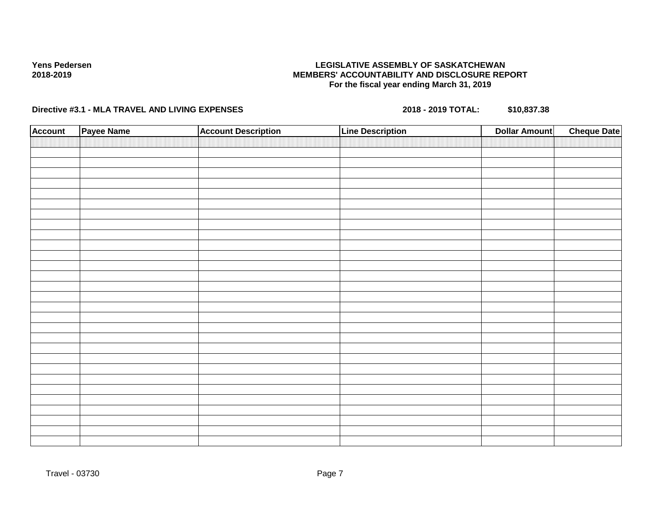### **LEGISLATIVE ASSEMBLY OF SASKATCHEWAN MEMBERS' ACCOUNTABILITY AND DISCLOSURE REPORT For the fiscal year ending March 31, 2019**

| <b>Account</b> | Payee Name | <b>Account Description</b> | <b>Line Description</b> | <b>Dollar Amount</b> | <b>Cheque Date</b> |
|----------------|------------|----------------------------|-------------------------|----------------------|--------------------|
|                |            |                            |                         |                      |                    |
|                |            |                            |                         |                      |                    |
|                |            |                            |                         |                      |                    |
|                |            |                            |                         |                      |                    |
|                |            |                            |                         |                      |                    |
|                |            |                            |                         |                      |                    |
|                |            |                            |                         |                      |                    |
|                |            |                            |                         |                      |                    |
|                |            |                            |                         |                      |                    |
|                |            |                            |                         |                      |                    |
|                |            |                            |                         |                      |                    |
|                |            |                            |                         |                      |                    |
|                |            |                            |                         |                      |                    |
|                |            |                            |                         |                      |                    |
|                |            |                            |                         |                      |                    |
|                |            |                            |                         |                      |                    |
|                |            |                            |                         |                      |                    |
|                |            |                            |                         |                      |                    |
|                |            |                            |                         |                      |                    |
|                |            |                            |                         |                      |                    |
|                |            |                            |                         |                      |                    |
|                |            |                            |                         |                      |                    |
|                |            |                            |                         |                      |                    |
|                |            |                            |                         |                      |                    |
|                |            |                            |                         |                      |                    |
|                |            |                            |                         |                      |                    |
|                |            |                            |                         |                      |                    |
|                |            |                            |                         |                      |                    |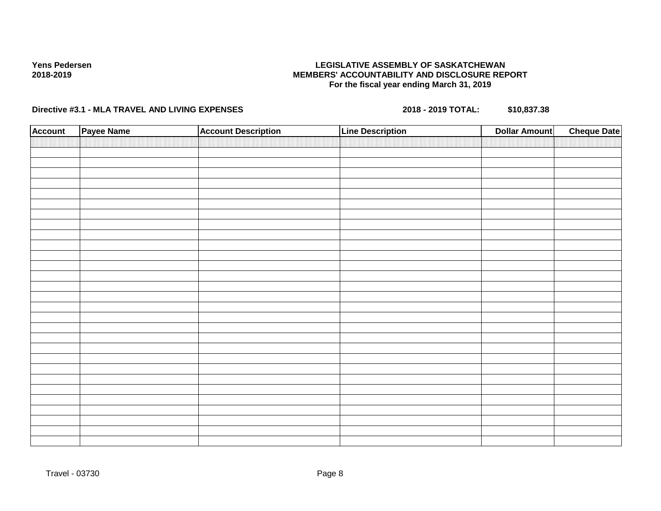### **LEGISLATIVE ASSEMBLY OF SASKATCHEWAN MEMBERS' ACCOUNTABILITY AND DISCLOSURE REPORT For the fiscal year ending March 31, 2019**

| <b>Account</b> | Payee Name | <b>Account Description</b> | <b>Line Description</b> | <b>Dollar Amount</b> | <b>Cheque Date</b> |
|----------------|------------|----------------------------|-------------------------|----------------------|--------------------|
|                |            |                            |                         |                      |                    |
|                |            |                            |                         |                      |                    |
|                |            |                            |                         |                      |                    |
|                |            |                            |                         |                      |                    |
|                |            |                            |                         |                      |                    |
|                |            |                            |                         |                      |                    |
|                |            |                            |                         |                      |                    |
|                |            |                            |                         |                      |                    |
|                |            |                            |                         |                      |                    |
|                |            |                            |                         |                      |                    |
|                |            |                            |                         |                      |                    |
|                |            |                            |                         |                      |                    |
|                |            |                            |                         |                      |                    |
|                |            |                            |                         |                      |                    |
|                |            |                            |                         |                      |                    |
|                |            |                            |                         |                      |                    |
|                |            |                            |                         |                      |                    |
|                |            |                            |                         |                      |                    |
|                |            |                            |                         |                      |                    |
|                |            |                            |                         |                      |                    |
|                |            |                            |                         |                      |                    |
|                |            |                            |                         |                      |                    |
|                |            |                            |                         |                      |                    |
|                |            |                            |                         |                      |                    |
|                |            |                            |                         |                      |                    |
|                |            |                            |                         |                      |                    |
|                |            |                            |                         |                      |                    |
|                |            |                            |                         |                      |                    |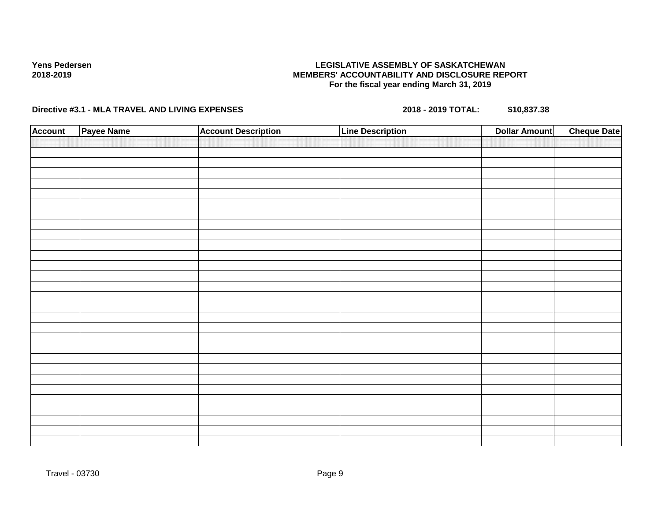### **LEGISLATIVE ASSEMBLY OF SASKATCHEWAN MEMBERS' ACCOUNTABILITY AND DISCLOSURE REPORT For the fiscal year ending March 31, 2019**

| <b>Account</b> | Payee Name | <b>Account Description</b> | <b>Line Description</b> | <b>Dollar Amount</b> | <b>Cheque Date</b> |
|----------------|------------|----------------------------|-------------------------|----------------------|--------------------|
|                |            |                            |                         |                      |                    |
|                |            |                            |                         |                      |                    |
|                |            |                            |                         |                      |                    |
|                |            |                            |                         |                      |                    |
|                |            |                            |                         |                      |                    |
|                |            |                            |                         |                      |                    |
|                |            |                            |                         |                      |                    |
|                |            |                            |                         |                      |                    |
|                |            |                            |                         |                      |                    |
|                |            |                            |                         |                      |                    |
|                |            |                            |                         |                      |                    |
|                |            |                            |                         |                      |                    |
|                |            |                            |                         |                      |                    |
|                |            |                            |                         |                      |                    |
|                |            |                            |                         |                      |                    |
|                |            |                            |                         |                      |                    |
|                |            |                            |                         |                      |                    |
|                |            |                            |                         |                      |                    |
|                |            |                            |                         |                      |                    |
|                |            |                            |                         |                      |                    |
|                |            |                            |                         |                      |                    |
|                |            |                            |                         |                      |                    |
|                |            |                            |                         |                      |                    |
|                |            |                            |                         |                      |                    |
|                |            |                            |                         |                      |                    |
|                |            |                            |                         |                      |                    |
|                |            |                            |                         |                      |                    |
|                |            |                            |                         |                      |                    |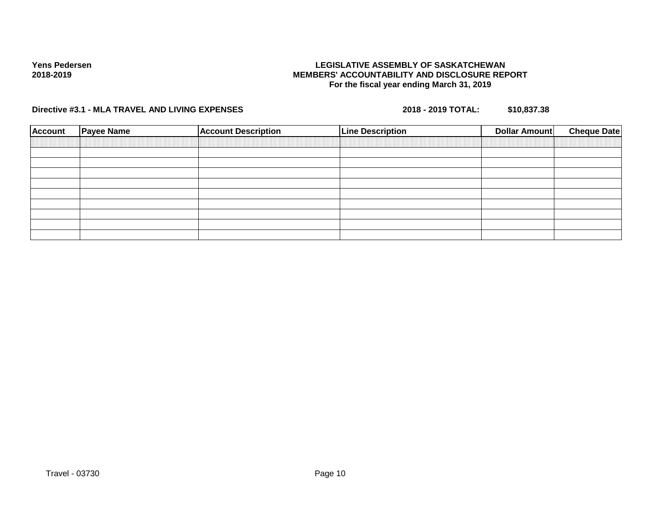### **LEGISLATIVE ASSEMBLY OF SASKATCHEWAN MEMBERS' ACCOUNTABILITY AND DISCLOSURE REPORT For the fiscal year ending March 31, 2019**

| <b>Account</b> | <b>Payee Name</b> | <b>Account Description</b> | <b>Line Description</b> | Dollar Amount | <b>Cheque Date</b> |
|----------------|-------------------|----------------------------|-------------------------|---------------|--------------------|
|                |                   |                            |                         |               |                    |
|                |                   |                            |                         |               |                    |
|                |                   |                            |                         |               |                    |
|                |                   |                            |                         |               |                    |
|                |                   |                            |                         |               |                    |
|                |                   |                            |                         |               |                    |
|                |                   |                            |                         |               |                    |
|                |                   |                            |                         |               |                    |
|                |                   |                            |                         |               |                    |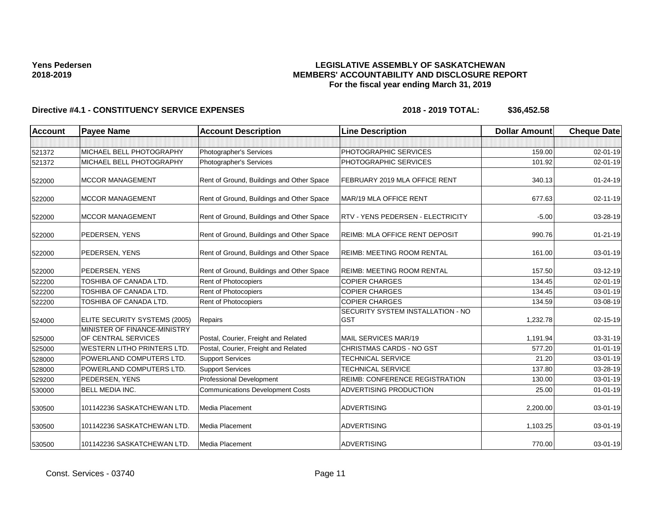### **LEGISLATIVE ASSEMBLY OF SASKATCHEWAN MEMBERS' ACCOUNTABILITY AND DISCLOSURE REPORT For the fiscal year ending March 31, 2019**

| <b>Account</b> | <b>Payee Name</b>                                   | <b>Account Description</b>                | <b>Line Description</b>                         | <b>Dollar Amount</b> | <b>Cheque Date</b> |
|----------------|-----------------------------------------------------|-------------------------------------------|-------------------------------------------------|----------------------|--------------------|
|                |                                                     |                                           |                                                 |                      |                    |
| 521372         | <b>MICHAEL BELL PHOTOGRAPHY</b>                     | Photographer's Services                   | <b>PHOTOGRAPHIC SERVICES</b>                    | 159.00               | 02-01-19           |
| 521372         | MICHAEL BELL PHOTOGRAPHY                            | Photographer's Services                   | <b>PHOTOGRAPHIC SERVICES</b>                    | 101.92               | 02-01-19           |
| 522000         | <b>MCCOR MANAGEMENT</b>                             | Rent of Ground, Buildings and Other Space | FEBRUARY 2019 MLA OFFICE RENT                   | 340.13               | $01 - 24 - 19$     |
| 522000         | <b>MCCOR MANAGEMENT</b>                             | Rent of Ground, Buildings and Other Space | MAR/19 MLA OFFICE RENT                          | 677.63               | 02-11-19           |
| 522000         | <b>MCCOR MANAGEMENT</b>                             | Rent of Ground, Buildings and Other Space | <b>RTV - YENS PEDERSEN - ELECTRICITY</b>        | $-5.00$              | 03-28-19           |
| 522000         | PEDERSEN, YENS                                      | Rent of Ground, Buildings and Other Space | <b>REIMB: MLA OFFICE RENT DEPOSIT</b>           | 990.76               | $01 - 21 - 19$     |
| 522000         | PEDERSEN, YENS                                      | Rent of Ground, Buildings and Other Space | REIMB: MEETING ROOM RENTAL                      | 161.00               | $03 - 01 - 19$     |
| 522000         | PEDERSEN, YENS                                      | Rent of Ground, Buildings and Other Space | <b>REIMB: MEETING ROOM RENTAL</b>               | 157.50               | 03-12-19           |
| 522200         | <b>TOSHIBA OF CANADA LTD.</b>                       | Rent of Photocopiers                      | <b>COPIER CHARGES</b>                           | 134.45               | 02-01-19           |
| 522200         | <b>TOSHIBA OF CANADA LTD.</b>                       | Rent of Photocopiers                      | <b>COPIER CHARGES</b>                           | 134.45               | 03-01-19           |
| 522200         | TOSHIBA OF CANADA LTD.                              | Rent of Photocopiers                      | <b>COPIER CHARGES</b>                           | 134.59               | 03-08-19           |
| 524000         | ELITE SECURITY SYSTEMS (2005)                       | Repairs                                   | SECURITY SYSTEM INSTALLATION - NO<br><b>GST</b> | 1,232.78             | 02-15-19           |
| 525000         | MINISTER OF FINANCE-MINISTRY<br>OF CENTRAL SERVICES | Postal, Courier, Freight and Related      | MAIL SERVICES MAR/19                            | 1,191.94             | 03-31-19           |
| 525000         | WESTERN LITHO PRINTERS LTD.                         | Postal, Courier, Freight and Related      | <b>CHRISTMAS CARDS - NO GST</b>                 | 577.20               | $01 - 01 - 19$     |
| 528000         | POWERLAND COMPUTERS LTD.                            | <b>Support Services</b>                   | <b>TECHNICAL SERVICE</b>                        | 21.20                | 03-01-19           |
| 528000         | <b>POWERLAND COMPUTERS LTD.</b>                     | <b>Support Services</b>                   | <b>TECHNICAL SERVICE</b>                        | 137.80               | 03-28-19           |
| 529200         | PEDERSEN, YENS                                      | <b>Professional Development</b>           | REIMB: CONFERENCE REGISTRATION                  | 130.00               | 03-01-19           |
| 530000         | <b>BELL MEDIA INC.</b>                              | <b>Communications Development Costs</b>   | ADVERTISING PRODUCTION                          | 25.00                | $01 - 01 - 19$     |
| 530500         | 101142236 SASKATCHEWAN LTD.                         | Media Placement                           | <b>ADVERTISING</b>                              | 2,200.00             | 03-01-19           |
| 530500         | 101142236 SASKATCHEWAN LTD.                         | Media Placement                           | <b>ADVERTISING</b>                              | 1,103.25             | 03-01-19           |
| 530500         | 101142236 SASKATCHEWAN LTD.                         | Media Placement                           | <b>ADVERTISING</b>                              | 770.00               | 03-01-19           |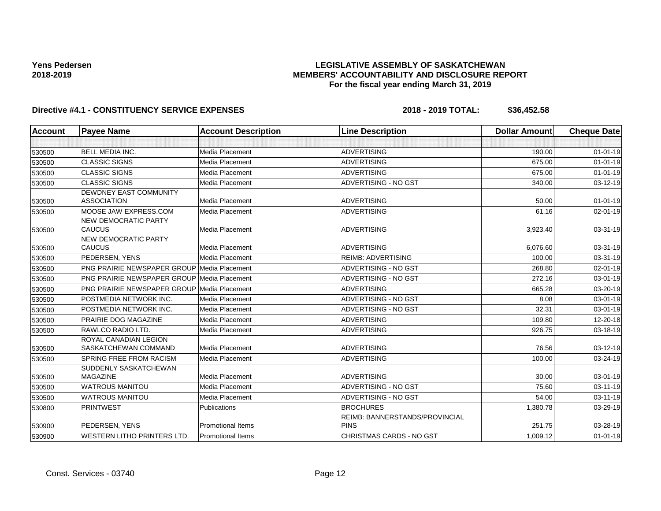### **LEGISLATIVE ASSEMBLY OF SASKATCHEWAN MEMBERS' ACCOUNTABILITY AND DISCLOSURE REPORT For the fiscal year ending March 31, 2019**

| <b>Account</b> | <b>Payee Name</b>                                                           | <b>Account Description</b> | <b>Line Description</b>                              | <b>Dollar Amount</b> | <b>Cheque Date</b> |
|----------------|-----------------------------------------------------------------------------|----------------------------|------------------------------------------------------|----------------------|--------------------|
|                |                                                                             |                            |                                                      |                      |                    |
| 530500         | <b>BELL MEDIA INC.</b>                                                      | <b>Media Placement</b>     | <b>ADVERTISING</b>                                   | 190.00               | $01 - 01 - 19$     |
| 530500         | <b>CLASSIC SIGNS</b>                                                        | <b>Media Placement</b>     | <b>ADVERTISING</b>                                   | 675.00               | $01 - 01 - 19$     |
| 530500         | <b>CLASSIC SIGNS</b>                                                        | Media Placement            | <b>ADVERTISING</b>                                   | 675.00               | $01 - 01 - 19$     |
| 530500         | <b>CLASSIC SIGNS</b>                                                        | Media Placement            | ADVERTISING - NO GST                                 | 340.00               | 03-12-19           |
| 530500         | <b>DEWDNEY EAST COMMUNITY</b><br><b>ASSOCIATION</b>                         | Media Placement            | <b>ADVERTISING</b>                                   | 50.00                | $01 - 01 - 19$     |
| 530500         | MOOSE JAW EXPRESS.COM                                                       | Media Placement            | <b>ADVERTISING</b>                                   | 61.16                | $02 - 01 - 19$     |
| 530500         | <b>NEW DEMOCRATIC PARTY</b><br><b>CAUCUS</b><br><b>NEW DEMOCRATIC PARTY</b> | Media Placement            | <b>ADVERTISING</b>                                   | 3,923.40             | 03-31-19           |
| 530500         | <b>CAUCUS</b>                                                               | Media Placement            | <b>ADVERTISING</b>                                   | 6,076.60             | 03-31-19           |
| 530500         | PEDERSEN, YENS                                                              | Media Placement            | <b>REIMB: ADVERTISING</b>                            | 100.00               | 03-31-19           |
| 530500         | <b>PNG PRAIRIE NEWSPAPER GROUP Media Placement</b>                          |                            | <b>ADVERTISING - NO GST</b>                          | 268.80               | 02-01-19           |
| 530500         | <b>PNG PRAIRIE NEWSPAPER GROUP Media Placement</b>                          |                            | ADVERTISING - NO GST                                 | 272.16               | 03-01-19           |
| 530500         | <b>PNG PRAIRIE NEWSPAPER GROUP Media Placement</b>                          |                            | <b>ADVERTISING</b>                                   | 665.28               | 03-20-19           |
| 530500         | POSTMEDIA NETWORK INC.                                                      | Media Placement            | ADVERTISING - NO GST                                 | 8.08                 | 03-01-19           |
| 530500         | POSTMEDIA NETWORK INC.                                                      | Media Placement            | <b>ADVERTISING - NO GST</b>                          | 32.31                | 03-01-19           |
| 530500         | PRAIRIE DOG MAGAZINE                                                        | Media Placement            | <b>ADVERTISING</b>                                   | 109.80               | 12-20-18           |
| 530500         | RAWLCO RADIO LTD.                                                           | Media Placement            | <b>ADVERTISING</b>                                   | 926.75               | 03-18-19           |
| 530500         | ROYAL CANADIAN LEGION<br>SASKATCHEWAN COMMAND                               | Media Placement            | <b>ADVERTISING</b>                                   | 76.56                | $03 - 12 - 19$     |
| 530500         | <b>SPRING FREE FROM RACISM</b>                                              | Media Placement            | <b>ADVERTISING</b>                                   | 100.00               | 03-24-19           |
| 530500         | <b>SUDDENLY SASKATCHEWAN</b><br><b>MAGAZINE</b>                             | Media Placement            | <b>ADVERTISING</b>                                   | 30.00                | 03-01-19           |
| 530500         | <b>WATROUS MANITOU</b>                                                      | Media Placement            | <b>ADVERTISING - NO GST</b>                          | 75.60                | 03-11-19           |
| 530500         | <b>WATROUS MANITOU</b>                                                      | Media Placement            | ADVERTISING - NO GST                                 | 54.00                | 03-11-19           |
| 530800         | <b>PRINTWEST</b>                                                            | Publications               | <b>BROCHURES</b>                                     | 1,380.78             | 03-29-19           |
| 530900         | PEDERSEN, YENS                                                              | <b>Promotional Items</b>   | <b>REIMB: BANNERSTANDS/PROVINCIAL</b><br><b>PINS</b> | 251.75               | 03-28-19           |
| 530900         | <b>WESTERN LITHO PRINTERS LTD.</b>                                          | <b>Promotional Items</b>   | <b>CHRISTMAS CARDS - NO GST</b>                      | 1,009.12             | $01 - 01 - 19$     |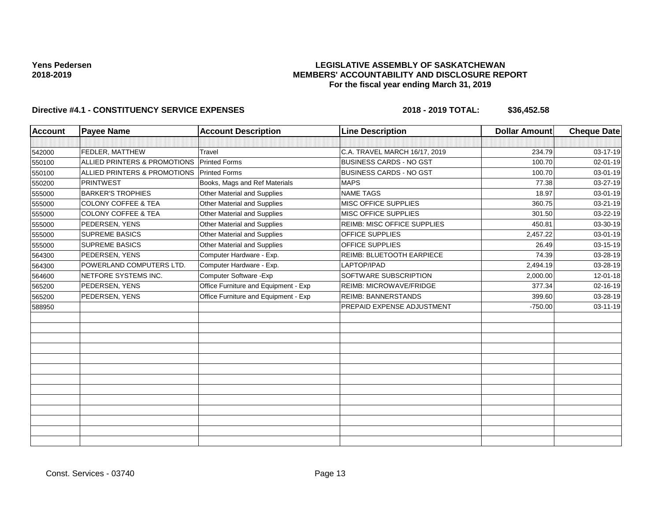### **LEGISLATIVE ASSEMBLY OF SASKATCHEWAN MEMBERS' ACCOUNTABILITY AND DISCLOSURE REPORT For the fiscal year ending March 31, 2019**

| <b>Account</b> | <b>Payee Name</b>              | <b>Account Description</b>           | <b>Line Description</b>            | <b>Dollar Amount</b> | <b>Cheque Date</b> |
|----------------|--------------------------------|--------------------------------------|------------------------------------|----------------------|--------------------|
|                |                                |                                      |                                    |                      |                    |
| 542000         | FEDLER, MATTHEW                | Travel                               | C.A. TRAVEL MARCH 16/17, 2019      | 234.79               | 03-17-19           |
| 550100         | ALLIED PRINTERS & PROMOTIONS   | <b>Printed Forms</b>                 | <b>BUSINESS CARDS - NO GST</b>     | 100.70               | $02 - 01 - 19$     |
| 550100         | ALLIED PRINTERS & PROMOTIONS   | <b>Printed Forms</b>                 | <b>BUSINESS CARDS - NO GST</b>     | 100.70               | 03-01-19           |
| 550200         | <b>PRINTWEST</b>               | Books, Mags and Ref Materials        | <b>MAPS</b>                        | 77.38                | 03-27-19           |
| 555000         | <b>BARKER'S TROPHIES</b>       | Other Material and Supplies          | <b>NAME TAGS</b>                   | 18.97                | 03-01-19           |
| 555000         | <b>COLONY COFFEE &amp; TEA</b> | Other Material and Supplies          | MISC OFFICE SUPPLIES               | 360.75               | 03-21-19           |
| 555000         | <b>COLONY COFFEE &amp; TEA</b> | <b>Other Material and Supplies</b>   | MISC OFFICE SUPPLIES               | 301.50               | 03-22-19           |
| 555000         | <b>PEDERSEN, YENS</b>          | Other Material and Supplies          | <b>REIMB: MISC OFFICE SUPPLIES</b> | 450.81               | 03-30-19           |
| 555000         | <b>SUPREME BASICS</b>          | Other Material and Supplies          | <b>OFFICE SUPPLIES</b>             | 2,457.22             | 03-01-19           |
| 555000         | <b>SUPREME BASICS</b>          | Other Material and Supplies          | OFFICE SUPPLIES                    | 26.49                | 03-15-19           |
| 564300         | <b>PEDERSEN, YENS</b>          | Computer Hardware - Exp.             | REIMB: BLUETOOTH EARPIECE          | 74.39                | 03-28-19           |
| 564300         | POWERLAND COMPUTERS LTD.       | Computer Hardware - Exp.             | LAPTOP/IPAD                        | 2,494.19             | 03-28-19           |
| 564600         | NETFORE SYSTEMS INC.           | Computer Software - Exp              | <b>SOFTWARE SUBSCRIPTION</b>       | 2,000.00             | 12-01-18           |
| 565200         | PEDERSEN, YENS                 | Office Furniture and Equipment - Exp | <b>REIMB: MICROWAVE/FRIDGE</b>     | 377.34               | 02-16-19           |
| 565200         | PEDERSEN, YENS                 | Office Furniture and Equipment - Exp | <b>REIMB: BANNERSTANDS</b>         | 399.60               | 03-28-19           |
| 588950         |                                |                                      | PREPAID EXPENSE ADJUSTMENT         | $-750.00$            | 03-11-19           |
|                |                                |                                      |                                    |                      |                    |
|                |                                |                                      |                                    |                      |                    |
|                |                                |                                      |                                    |                      |                    |
|                |                                |                                      |                                    |                      |                    |
|                |                                |                                      |                                    |                      |                    |
|                |                                |                                      |                                    |                      |                    |
|                |                                |                                      |                                    |                      |                    |
|                |                                |                                      |                                    |                      |                    |
|                |                                |                                      |                                    |                      |                    |
|                |                                |                                      |                                    |                      |                    |
|                |                                |                                      |                                    |                      |                    |
|                |                                |                                      |                                    |                      |                    |
|                |                                |                                      |                                    |                      |                    |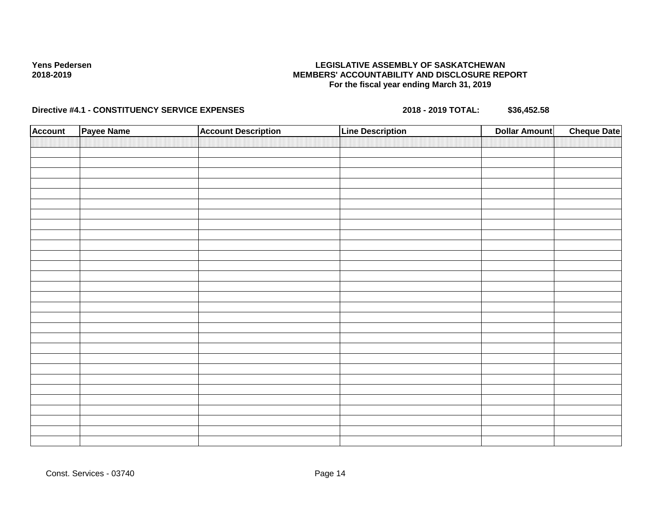### **LEGISLATIVE ASSEMBLY OF SASKATCHEWAN MEMBERS' ACCOUNTABILITY AND DISCLOSURE REPORT For the fiscal year ending March 31, 2019**

| <b>Account</b> | Payee Name | <b>Account Description</b> | <b>Line Description</b> | <b>Dollar Amount</b> | <b>Cheque Date</b> |
|----------------|------------|----------------------------|-------------------------|----------------------|--------------------|
|                |            |                            |                         |                      |                    |
|                |            |                            |                         |                      |                    |
|                |            |                            |                         |                      |                    |
|                |            |                            |                         |                      |                    |
|                |            |                            |                         |                      |                    |
|                |            |                            |                         |                      |                    |
|                |            |                            |                         |                      |                    |
|                |            |                            |                         |                      |                    |
|                |            |                            |                         |                      |                    |
|                |            |                            |                         |                      |                    |
|                |            |                            |                         |                      |                    |
|                |            |                            |                         |                      |                    |
|                |            |                            |                         |                      |                    |
|                |            |                            |                         |                      |                    |
|                |            |                            |                         |                      |                    |
|                |            |                            |                         |                      |                    |
|                |            |                            |                         |                      |                    |
|                |            |                            |                         |                      |                    |
|                |            |                            |                         |                      |                    |
|                |            |                            |                         |                      |                    |
|                |            |                            |                         |                      |                    |
|                |            |                            |                         |                      |                    |
|                |            |                            |                         |                      |                    |
|                |            |                            |                         |                      |                    |
|                |            |                            |                         |                      |                    |
|                |            |                            |                         |                      |                    |
|                |            |                            |                         |                      |                    |
|                |            |                            |                         |                      |                    |
|                |            |                            |                         |                      |                    |
|                |            |                            |                         |                      |                    |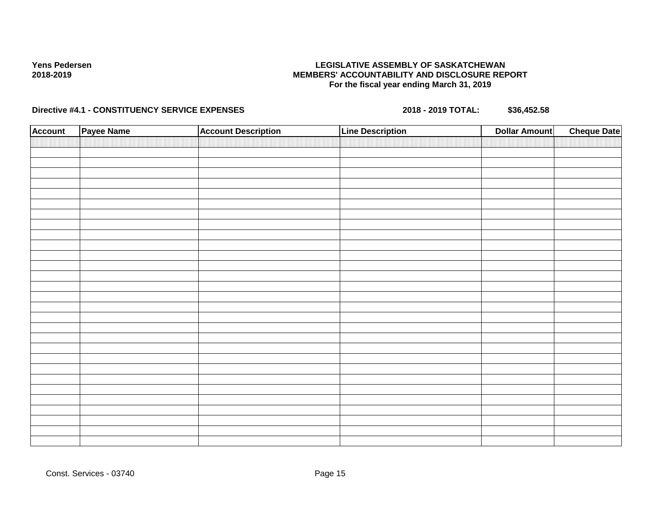### **LEGISLATIVE ASSEMBLY OF SASKATCHEWAN MEMBERS' ACCOUNTABILITY AND DISCLOSURE REPORT For the fiscal year ending March 31, 2019**

| <b>Account</b> | Payee Name | <b>Account Description</b> | <b>Line Description</b> | <b>Dollar Amount</b> | <b>Cheque Date</b> |
|----------------|------------|----------------------------|-------------------------|----------------------|--------------------|
|                |            |                            |                         |                      |                    |
|                |            |                            |                         |                      |                    |
|                |            |                            |                         |                      |                    |
|                |            |                            |                         |                      |                    |
|                |            |                            |                         |                      |                    |
|                |            |                            |                         |                      |                    |
|                |            |                            |                         |                      |                    |
|                |            |                            |                         |                      |                    |
|                |            |                            |                         |                      |                    |
|                |            |                            |                         |                      |                    |
|                |            |                            |                         |                      |                    |
|                |            |                            |                         |                      |                    |
|                |            |                            |                         |                      |                    |
|                |            |                            |                         |                      |                    |
|                |            |                            |                         |                      |                    |
|                |            |                            |                         |                      |                    |
|                |            |                            |                         |                      |                    |
|                |            |                            |                         |                      |                    |
|                |            |                            |                         |                      |                    |
|                |            |                            |                         |                      |                    |
|                |            |                            |                         |                      |                    |
|                |            |                            |                         |                      |                    |
|                |            |                            |                         |                      |                    |
|                |            |                            |                         |                      |                    |
|                |            |                            |                         |                      |                    |
|                |            |                            |                         |                      |                    |
|                |            |                            |                         |                      |                    |
|                |            |                            |                         |                      |                    |
|                |            |                            |                         |                      |                    |
|                |            |                            |                         |                      |                    |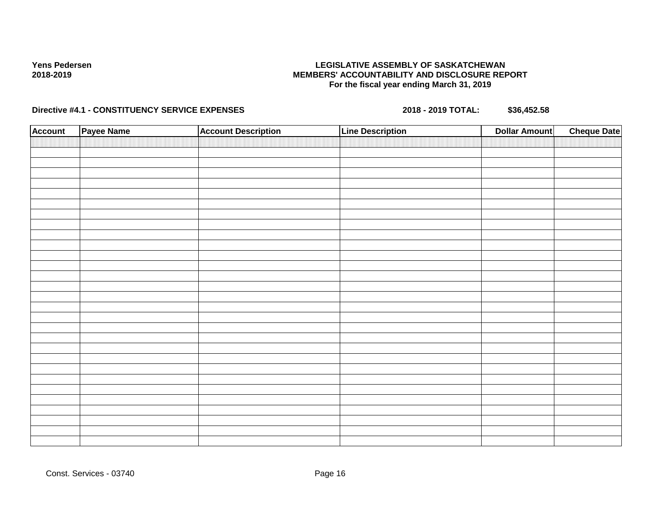### **LEGISLATIVE ASSEMBLY OF SASKATCHEWAN MEMBERS' ACCOUNTABILITY AND DISCLOSURE REPORT For the fiscal year ending March 31, 2019**

| <b>Account</b> | Payee Name | <b>Account Description</b> | <b>Line Description</b> | <b>Dollar Amount</b> | <b>Cheque Date</b> |
|----------------|------------|----------------------------|-------------------------|----------------------|--------------------|
|                |            |                            |                         |                      |                    |
|                |            |                            |                         |                      |                    |
|                |            |                            |                         |                      |                    |
|                |            |                            |                         |                      |                    |
|                |            |                            |                         |                      |                    |
|                |            |                            |                         |                      |                    |
|                |            |                            |                         |                      |                    |
|                |            |                            |                         |                      |                    |
|                |            |                            |                         |                      |                    |
|                |            |                            |                         |                      |                    |
|                |            |                            |                         |                      |                    |
|                |            |                            |                         |                      |                    |
|                |            |                            |                         |                      |                    |
|                |            |                            |                         |                      |                    |
|                |            |                            |                         |                      |                    |
|                |            |                            |                         |                      |                    |
|                |            |                            |                         |                      |                    |
|                |            |                            |                         |                      |                    |
|                |            |                            |                         |                      |                    |
|                |            |                            |                         |                      |                    |
|                |            |                            |                         |                      |                    |
|                |            |                            |                         |                      |                    |
|                |            |                            |                         |                      |                    |
|                |            |                            |                         |                      |                    |
|                |            |                            |                         |                      |                    |
|                |            |                            |                         |                      |                    |
|                |            |                            |                         |                      |                    |
|                |            |                            |                         |                      |                    |
|                |            |                            |                         |                      |                    |
|                |            |                            |                         |                      |                    |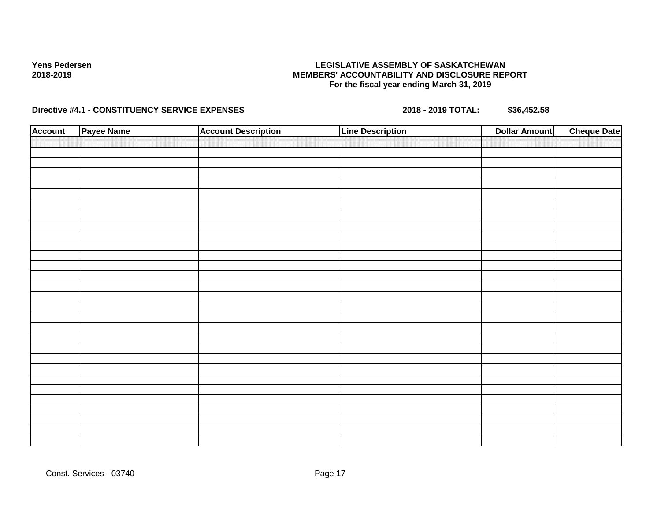### **LEGISLATIVE ASSEMBLY OF SASKATCHEWAN MEMBERS' ACCOUNTABILITY AND DISCLOSURE REPORT For the fiscal year ending March 31, 2019**

| <b>Account</b> | Payee Name | <b>Account Description</b> | <b>Line Description</b> | <b>Dollar Amount</b> | <b>Cheque Date</b> |
|----------------|------------|----------------------------|-------------------------|----------------------|--------------------|
|                |            |                            |                         |                      |                    |
|                |            |                            |                         |                      |                    |
|                |            |                            |                         |                      |                    |
|                |            |                            |                         |                      |                    |
|                |            |                            |                         |                      |                    |
|                |            |                            |                         |                      |                    |
|                |            |                            |                         |                      |                    |
|                |            |                            |                         |                      |                    |
|                |            |                            |                         |                      |                    |
|                |            |                            |                         |                      |                    |
|                |            |                            |                         |                      |                    |
|                |            |                            |                         |                      |                    |
|                |            |                            |                         |                      |                    |
|                |            |                            |                         |                      |                    |
|                |            |                            |                         |                      |                    |
|                |            |                            |                         |                      |                    |
|                |            |                            |                         |                      |                    |
|                |            |                            |                         |                      |                    |
|                |            |                            |                         |                      |                    |
|                |            |                            |                         |                      |                    |
|                |            |                            |                         |                      |                    |
|                |            |                            |                         |                      |                    |
|                |            |                            |                         |                      |                    |
|                |            |                            |                         |                      |                    |
|                |            |                            |                         |                      |                    |
|                |            |                            |                         |                      |                    |
|                |            |                            |                         |                      |                    |
|                |            |                            |                         |                      |                    |
|                |            |                            |                         |                      |                    |
|                |            |                            |                         |                      |                    |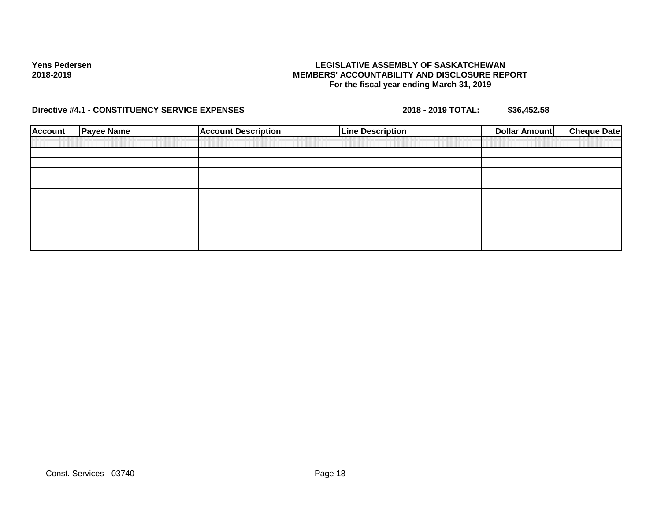### **LEGISLATIVE ASSEMBLY OF SASKATCHEWAN MEMBERS' ACCOUNTABILITY AND DISCLOSURE REPORT For the fiscal year ending March 31, 2019**

| <b>Account</b> | <b>Payee Name</b> | <b>Account Description</b> | <b>Line Description</b> | Dollar Amount | <b>Cheque Date</b> |
|----------------|-------------------|----------------------------|-------------------------|---------------|--------------------|
|                |                   |                            |                         |               |                    |
|                |                   |                            |                         |               |                    |
|                |                   |                            |                         |               |                    |
|                |                   |                            |                         |               |                    |
|                |                   |                            |                         |               |                    |
|                |                   |                            |                         |               |                    |
|                |                   |                            |                         |               |                    |
|                |                   |                            |                         |               |                    |
|                |                   |                            |                         |               |                    |
|                |                   |                            |                         |               |                    |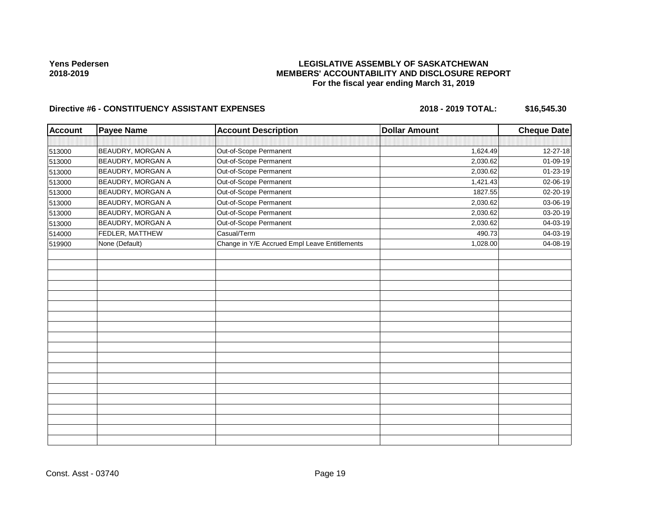# **LEGISLATIVE ASSEMBLY OF SASKATCHEWAN MEMBERS' ACCOUNTABILITY AND DISCLOSURE REPORT For the fiscal year ending March 31, 2019**

| <b>Account</b> | <b>Payee Name</b> | <b>Account Description</b>                    | <b>Dollar Amount</b> | <b>Cheque Date</b> |
|----------------|-------------------|-----------------------------------------------|----------------------|--------------------|
|                |                   |                                               |                      |                    |
| 513000         | BEAUDRY, MORGAN A | Out-of-Scope Permanent                        | 1,624.49             | 12-27-18           |
| 513000         | BEAUDRY, MORGAN A | Out-of-Scope Permanent                        | 2,030.62             | 01-09-19           |
| 513000         | BEAUDRY, MORGAN A | Out-of-Scope Permanent                        | 2,030.62             | 01-23-19           |
| 513000         | BEAUDRY, MORGAN A | Out-of-Scope Permanent                        | 1,421.43             | 02-06-19           |
| 513000         | BEAUDRY, MORGAN A | Out-of-Scope Permanent                        | 1827.55              | 02-20-19           |
| 513000         | BEAUDRY, MORGAN A | Out-of-Scope Permanent                        | 2,030.62             | 03-06-19           |
| 513000         | BEAUDRY, MORGAN A | Out-of-Scope Permanent                        | 2,030.62             | 03-20-19           |
| 513000         | BEAUDRY, MORGAN A | Out-of-Scope Permanent                        | 2,030.62             | 04-03-19           |
| 514000         | FEDLER, MATTHEW   | Casual/Term                                   | 490.73               | 04-03-19           |
| 519900         | None (Default)    | Change in Y/E Accrued Empl Leave Entitlements | 1,028.00             | 04-08-19           |
|                |                   |                                               |                      |                    |
|                |                   |                                               |                      |                    |
|                |                   |                                               |                      |                    |
|                |                   |                                               |                      |                    |
|                |                   |                                               |                      |                    |
|                |                   |                                               |                      |                    |
|                |                   |                                               |                      |                    |
|                |                   |                                               |                      |                    |
|                |                   |                                               |                      |                    |
|                |                   |                                               |                      |                    |
|                |                   |                                               |                      |                    |
|                |                   |                                               |                      |                    |
|                |                   |                                               |                      |                    |
|                |                   |                                               |                      |                    |
|                |                   |                                               |                      |                    |
|                |                   |                                               |                      |                    |
|                |                   |                                               |                      |                    |
|                |                   |                                               |                      |                    |
|                |                   |                                               |                      |                    |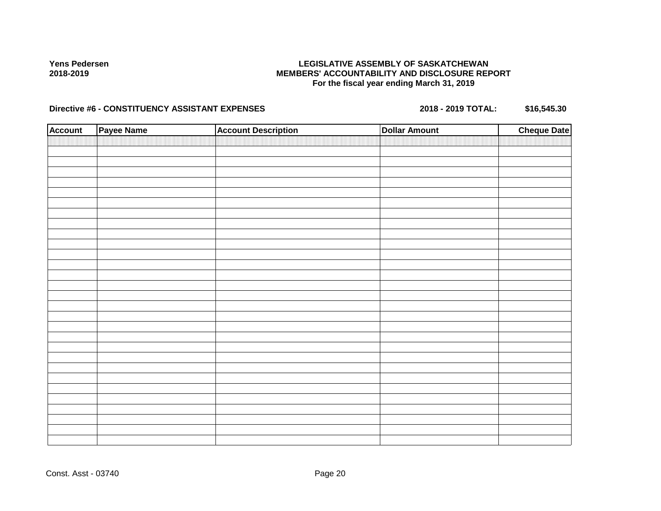## **LEGISLATIVE ASSEMBLY OF SASKATCHEWAN MEMBERS' ACCOUNTABILITY AND DISCLOSURE REPORT For the fiscal year ending March 31, 2019**

| <b>Account</b> | Payee Name | <b>Account Description</b> | <b>Dollar Amount</b> | <b>Cheque Date</b> |
|----------------|------------|----------------------------|----------------------|--------------------|
|                |            |                            |                      |                    |
|                |            |                            |                      |                    |
|                |            |                            |                      |                    |
|                |            |                            |                      |                    |
|                |            |                            |                      |                    |
|                |            |                            |                      |                    |
|                |            |                            |                      |                    |
|                |            |                            |                      |                    |
|                |            |                            |                      |                    |
|                |            |                            |                      |                    |
|                |            |                            |                      |                    |
|                |            |                            |                      |                    |
|                |            |                            |                      |                    |
|                |            |                            |                      |                    |
|                |            |                            |                      |                    |
|                |            |                            |                      |                    |
|                |            |                            |                      |                    |
|                |            |                            |                      |                    |
|                |            |                            |                      |                    |
|                |            |                            |                      |                    |
|                |            |                            |                      |                    |
|                |            |                            |                      |                    |
|                |            |                            |                      |                    |
|                |            |                            |                      |                    |
|                |            |                            |                      |                    |
|                |            |                            |                      |                    |
|                |            |                            |                      |                    |
|                |            |                            |                      |                    |
|                |            |                            |                      |                    |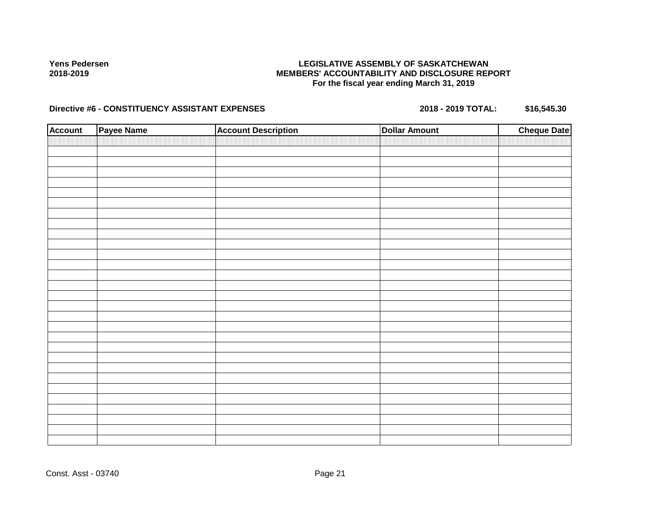## **LEGISLATIVE ASSEMBLY OF SASKATCHEWAN MEMBERS' ACCOUNTABILITY AND DISCLOSURE REPORT For the fiscal year ending March 31, 2019**

| <b>Account</b> | Payee Name | <b>Account Description</b> | <b>Dollar Amount</b> | <b>Cheque Date</b> |
|----------------|------------|----------------------------|----------------------|--------------------|
|                |            |                            |                      |                    |
|                |            |                            |                      |                    |
|                |            |                            |                      |                    |
|                |            |                            |                      |                    |
|                |            |                            |                      |                    |
|                |            |                            |                      |                    |
|                |            |                            |                      |                    |
|                |            |                            |                      |                    |
|                |            |                            |                      |                    |
|                |            |                            |                      |                    |
|                |            |                            |                      |                    |
|                |            |                            |                      |                    |
|                |            |                            |                      |                    |
|                |            |                            |                      |                    |
|                |            |                            |                      |                    |
|                |            |                            |                      |                    |
|                |            |                            |                      |                    |
|                |            |                            |                      |                    |
|                |            |                            |                      |                    |
|                |            |                            |                      |                    |
|                |            |                            |                      |                    |
|                |            |                            |                      |                    |
|                |            |                            |                      |                    |
|                |            |                            |                      |                    |
|                |            |                            |                      |                    |
|                |            |                            |                      |                    |
|                |            |                            |                      |                    |
|                |            |                            |                      |                    |
|                |            |                            |                      |                    |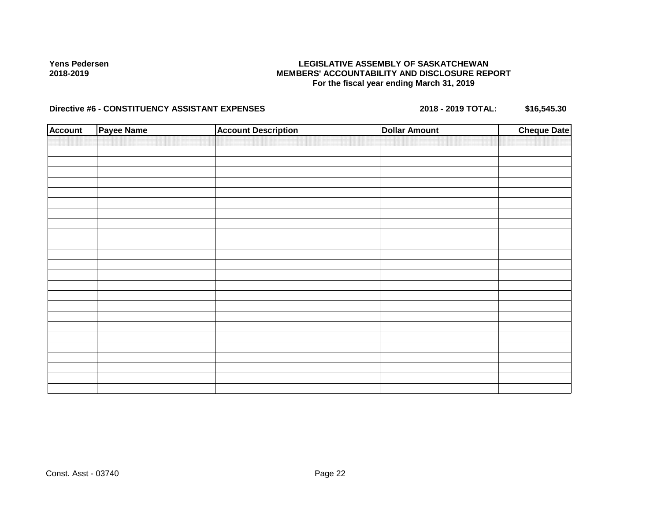### **LEGISLATIVE ASSEMBLY OF SASKATCHEWAN MEMBERS' ACCOUNTABILITY AND DISCLOSURE REPORT For the fiscal year ending March 31, 2019**

| <b>Account</b> | <b>Payee Name</b> | <b>Account Description</b> | <b>Dollar Amount</b> | <b>Cheque Date</b> |
|----------------|-------------------|----------------------------|----------------------|--------------------|
|                |                   |                            |                      |                    |
|                |                   |                            |                      |                    |
|                |                   |                            |                      |                    |
|                |                   |                            |                      |                    |
|                |                   |                            |                      |                    |
|                |                   |                            |                      |                    |
|                |                   |                            |                      |                    |
|                |                   |                            |                      |                    |
|                |                   |                            |                      |                    |
|                |                   |                            |                      |                    |
|                |                   |                            |                      |                    |
|                |                   |                            |                      |                    |
|                |                   |                            |                      |                    |
|                |                   |                            |                      |                    |
|                |                   |                            |                      |                    |
|                |                   |                            |                      |                    |
|                |                   |                            |                      |                    |
|                |                   |                            |                      |                    |
|                |                   |                            |                      |                    |
|                |                   |                            |                      |                    |
|                |                   |                            |                      |                    |
|                |                   |                            |                      |                    |
|                |                   |                            |                      |                    |
|                |                   |                            |                      |                    |